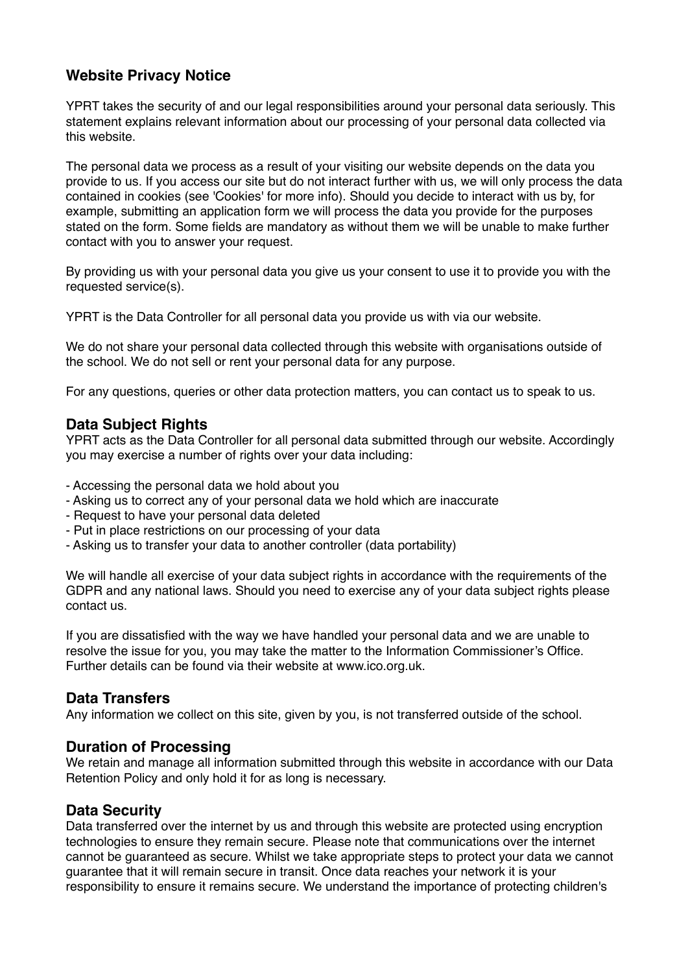# **Website Privacy Notice**

YPRT takes the security of and our legal responsibilities around your personal data seriously. This statement explains relevant information about our processing of your personal data collected via this website.

The personal data we process as a result of your visiting our website depends on the data you provide to us. If you access our site but do not interact further with us, we will only process the data contained in cookies (see 'Cookies' for more info). Should you decide to interact with us by, for example, submitting an application form we will process the data you provide for the purposes stated on the form. Some fields are mandatory as without them we will be unable to make further contact with you to answer your request.

By providing us with your personal data you give us your consent to use it to provide you with the requested service(s).

YPRT is the Data Controller for all personal data you provide us with via our website.

We do not share your personal data collected through this website with organisations outside of the school. We do not sell or rent your personal data for any purpose.

For any questions, queries or other data protection matters, you can contact us to speak to us.

#### **Data Subject Rights**

YPRT acts as the Data Controller for all personal data submitted through our website. Accordingly you may exercise a number of rights over your data including:

- Accessing the personal data we hold about you
- Asking us to correct any of your personal data we hold which are inaccurate
- Request to have your personal data deleted
- Put in place restrictions on our processing of your data
- Asking us to transfer your data to another controller (data portability)

We will handle all exercise of your data subject rights in accordance with the requirements of the GDPR and any national laws. Should you need to exercise any of your data subject rights please contact us.

If you are dissatisfied with the way we have handled your personal data and we are unable to resolve the issue for you, you may take the matter to the Information Commissioner's Office. Further details can be found via their website at www.ico.org.uk.

# **Data Transfers**

Any information we collect on this site, given by you, is not transferred outside of the school.

# **Duration of Processing**

We retain and manage all information submitted through this website in accordance with our Data Retention Policy and only hold it for as long is necessary.

#### **Data Security**

Data transferred over the internet by us and through this website are protected using encryption technologies to ensure they remain secure. Please note that communications over the internet cannot be guaranteed as secure. Whilst we take appropriate steps to protect your data we cannot guarantee that it will remain secure in transit. Once data reaches your network it is your responsibility to ensure it remains secure. We understand the importance of protecting children's